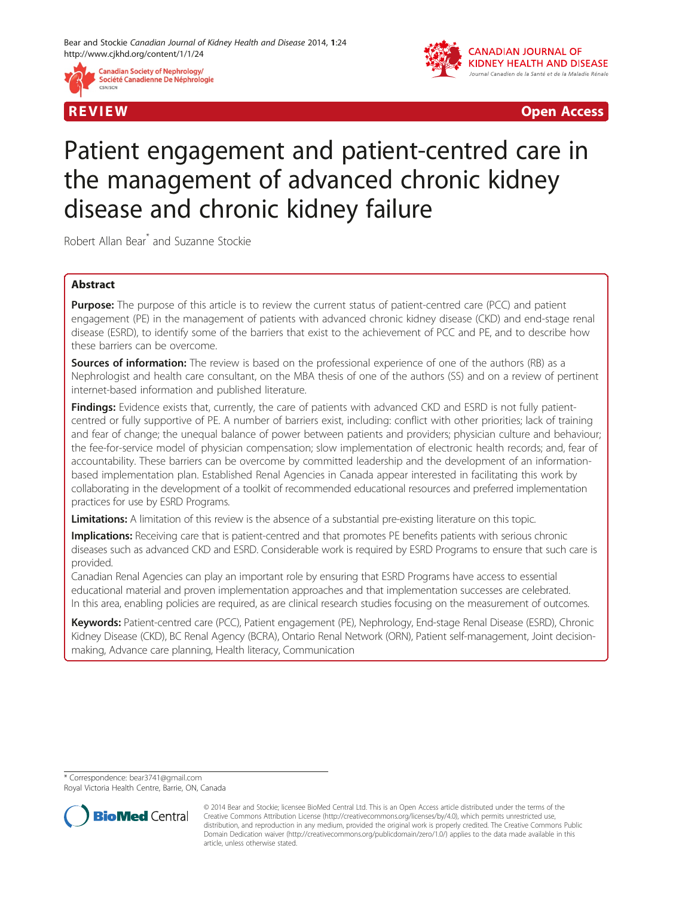



R EVI EW Open Access

# Patient engagement and patient-centred care in the management of advanced chronic kidney disease and chronic kidney failure

Robert Allan Bear\* and Suzanne Stockie

# Abstract

Purpose: The purpose of this article is to review the current status of patient-centred care (PCC) and patient engagement (PE) in the management of patients with advanced chronic kidney disease (CKD) and end-stage renal disease (ESRD), to identify some of the barriers that exist to the achievement of PCC and PE, and to describe how these barriers can be overcome.

Sources of information: The review is based on the professional experience of one of the authors (RB) as a Nephrologist and health care consultant, on the MBA thesis of one of the authors (SS) and on a review of pertinent internet-based information and published literature.

Findings: Evidence exists that, currently, the care of patients with advanced CKD and ESRD is not fully patientcentred or fully supportive of PE. A number of barriers exist, including: conflict with other priorities; lack of training and fear of change; the unequal balance of power between patients and providers; physician culture and behaviour; the fee-for-service model of physician compensation; slow implementation of electronic health records; and, fear of accountability. These barriers can be overcome by committed leadership and the development of an informationbased implementation plan. Established Renal Agencies in Canada appear interested in facilitating this work by collaborating in the development of a toolkit of recommended educational resources and preferred implementation practices for use by ESRD Programs.

Limitations: A limitation of this review is the absence of a substantial pre-existing literature on this topic.

Implications: Receiving care that is patient-centred and that promotes PE benefits patients with serious chronic diseases such as advanced CKD and ESRD. Considerable work is required by ESRD Programs to ensure that such care is provided.

Canadian Renal Agencies can play an important role by ensuring that ESRD Programs have access to essential educational material and proven implementation approaches and that implementation successes are celebrated. In this area, enabling policies are required, as are clinical research studies focusing on the measurement of outcomes.

Keywords: Patient-centred care (PCC), Patient engagement (PE), Nephrology, End-stage Renal Disease (ESRD), Chronic Kidney Disease (CKD), BC Renal Agency (BCRA), Ontario Renal Network (ORN), Patient self-management, Joint decisionmaking, Advance care planning, Health literacy, Communication

\* Correspondence: [bear3741@gmail.com](mailto:bear3741@gmail.com)

Royal Victoria Health Centre, Barrie, ON, Canada



<sup>© 2014</sup> Bear and Stockie; licensee BioMed Central Ltd. This is an Open Access article distributed under the terms of the Creative Commons Attribution License (http://creativecommons.org/licenses/by/4.0), which permits unrestricted use, distribution, and reproduction in any medium, provided the original work is properly credited. The Creative Commons Public Domain Dedication waiver (http://creativecommons.org/publicdomain/zero/1.0/) applies to the data made available in this article, unless otherwise stated.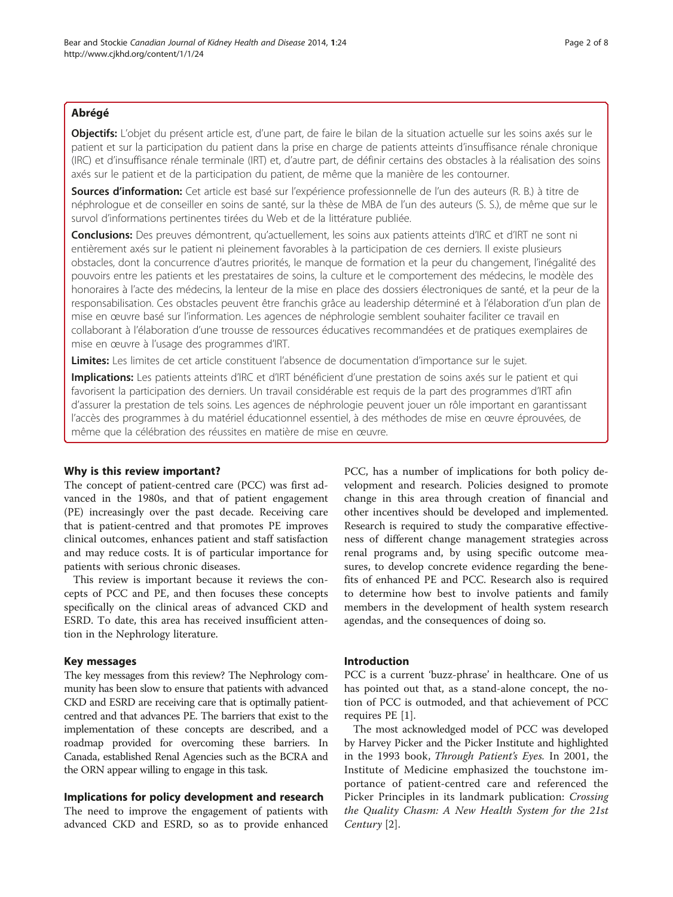# Abrégé

Objectifs: L'objet du présent article est, d'une part, de faire le bilan de la situation actuelle sur les soins axés sur le patient et sur la participation du patient dans la prise en charge de patients atteints d'insuffisance rénale chronique (IRC) et d'insuffisance rénale terminale (IRT) et, d'autre part, de définir certains des obstacles à la réalisation des soins axés sur le patient et de la participation du patient, de même que la manière de les contourner.

Sources d'information: Cet article est basé sur l'expérience professionnelle de l'un des auteurs (R. B.) à titre de néphrologue et de conseiller en soins de santé, sur la thèse de MBA de l'un des auteurs (S. S.), de même que sur le survol d'informations pertinentes tirées du Web et de la littérature publiée.

Conclusions: Des preuves démontrent, qu'actuellement, les soins aux patients atteints d'IRC et d'IRT ne sont ni entièrement axés sur le patient ni pleinement favorables à la participation de ces derniers. Il existe plusieurs obstacles, dont la concurrence d'autres priorités, le manque de formation et la peur du changement, l'inégalité des pouvoirs entre les patients et les prestataires de soins, la culture et le comportement des médecins, le modèle des honoraires à l'acte des médecins, la lenteur de la mise en place des dossiers électroniques de santé, et la peur de la responsabilisation. Ces obstacles peuvent être franchis grâce au leadership déterminé et à l'élaboration d'un plan de mise en œuvre basé sur l'information. Les agences de néphrologie semblent souhaiter faciliter ce travail en collaborant à l'élaboration d'une trousse de ressources éducatives recommandées et de pratiques exemplaires de mise en œuvre à l'usage des programmes d'IRT.

Limites: Les limites de cet article constituent l'absence de documentation d'importance sur le sujet.

Implications: Les patients atteints d'IRC et d'IRT bénéficient d'une prestation de soins axés sur le patient et qui favorisent la participation des derniers. Un travail considérable est requis de la part des programmes d'IRT afin d'assurer la prestation de tels soins. Les agences de néphrologie peuvent jouer un rôle important en garantissant l'accès des programmes à du matériel éducationnel essentiel, à des méthodes de mise en œuvre éprouvées, de même que la célébration des réussites en matière de mise en œuvre.

#### Why is this review important?

The concept of patient-centred care (PCC) was first advanced in the 1980s, and that of patient engagement (PE) increasingly over the past decade. Receiving care that is patient-centred and that promotes PE improves clinical outcomes, enhances patient and staff satisfaction and may reduce costs. It is of particular importance for patients with serious chronic diseases.

This review is important because it reviews the concepts of PCC and PE, and then focuses these concepts specifically on the clinical areas of advanced CKD and ESRD. To date, this area has received insufficient attention in the Nephrology literature.

#### Key messages

The key messages from this review? The Nephrology community has been slow to ensure that patients with advanced CKD and ESRD are receiving care that is optimally patientcentred and that advances PE. The barriers that exist to the implementation of these concepts are described, and a roadmap provided for overcoming these barriers. In Canada, established Renal Agencies such as the BCRA and the ORN appear willing to engage in this task.

#### Implications for policy development and research

The need to improve the engagement of patients with advanced CKD and ESRD, so as to provide enhanced

PCC, has a number of implications for both policy development and research. Policies designed to promote change in this area through creation of financial and other incentives should be developed and implemented. Research is required to study the comparative effectiveness of different change management strategies across renal programs and, by using specific outcome measures, to develop concrete evidence regarding the benefits of enhanced PE and PCC. Research also is required to determine how best to involve patients and family members in the development of health system research agendas, and the consequences of doing so.

## Introduction

PCC is a current 'buzz-phrase' in healthcare. One of us has pointed out that, as a stand-alone concept, the notion of PCC is outmoded, and that achievement of PCC requires PE [[1\]](#page-6-0).

The most acknowledged model of PCC was developed by Harvey Picker and the Picker Institute and highlighted in the 1993 book, Through Patient's Eyes. In 2001, the Institute of Medicine emphasized the touchstone importance of patient-centred care and referenced the Picker Principles in its landmark publication: Crossing the Quality Chasm: A New Health System for the 21st Century [[2](#page-6-0)].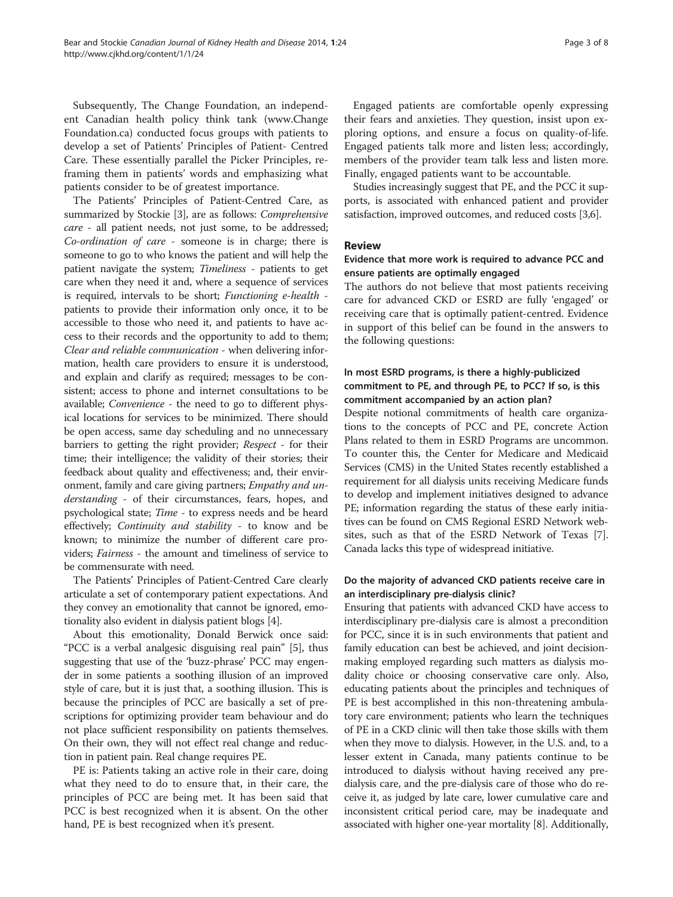Subsequently, The Change Foundation, an independent Canadian health policy think tank ([www.Change](http://www.changefoundation.ca/) [Foundation.ca](http://www.changefoundation.ca/)) conducted focus groups with patients to develop a set of Patients' Principles of Patient- Centred Care. These essentially parallel the Picker Principles, reframing them in patients' words and emphasizing what patients consider to be of greatest importance.

The Patients' Principles of Patient-Centred Care, as summarized by Stockie [[3\]](#page-6-0), are as follows: Comprehensive care - all patient needs, not just some, to be addressed; Co-ordination of care - someone is in charge; there is someone to go to who knows the patient and will help the patient navigate the system; Timeliness - patients to get care when they need it and, where a sequence of services is required, intervals to be short; Functioning e-health patients to provide their information only once, it to be accessible to those who need it, and patients to have access to their records and the opportunity to add to them; Clear and reliable communication - when delivering information, health care providers to ensure it is understood, and explain and clarify as required; messages to be consistent; access to phone and internet consultations to be available; Convenience - the need to go to different physical locations for services to be minimized. There should be open access, same day scheduling and no unnecessary barriers to getting the right provider; Respect - for their time; their intelligence; the validity of their stories; their feedback about quality and effectiveness; and, their environment, family and care giving partners; Empathy and understanding - of their circumstances, fears, hopes, and psychological state; Time - to express needs and be heard effectively; Continuity and stability - to know and be known; to minimize the number of different care providers; Fairness - the amount and timeliness of service to be commensurate with need.

The Patients' Principles of Patient-Centred Care clearly articulate a set of contemporary patient expectations. And they convey an emotionality that cannot be ignored, emotionality also evident in dialysis patient blogs [[4\]](#page-6-0).

About this emotionality, Donald Berwick once said: "PCC is a verbal analgesic disguising real pain" [\[5](#page-6-0)], thus suggesting that use of the 'buzz-phrase' PCC may engender in some patients a soothing illusion of an improved style of care, but it is just that, a soothing illusion. This is because the principles of PCC are basically a set of prescriptions for optimizing provider team behaviour and do not place sufficient responsibility on patients themselves. On their own, they will not effect real change and reduction in patient pain. Real change requires PE.

PE is: Patients taking an active role in their care, doing what they need to do to ensure that, in their care, the principles of PCC are being met. It has been said that PCC is best recognized when it is absent. On the other hand, PE is best recognized when it's present.

Engaged patients are comfortable openly expressing their fears and anxieties. They question, insist upon exploring options, and ensure a focus on quality-of-life. Engaged patients talk more and listen less; accordingly, members of the provider team talk less and listen more. Finally, engaged patients want to be accountable.

Studies increasingly suggest that PE, and the PCC it supports, is associated with enhanced patient and provider satisfaction, improved outcomes, and reduced costs [[3,6](#page-6-0)].

## Review

# Evidence that more work is required to advance PCC and ensure patients are optimally engaged

The authors do not believe that most patients receiving care for advanced CKD or ESRD are fully 'engaged' or receiving care that is optimally patient-centred. Evidence in support of this belief can be found in the answers to the following questions:

# In most ESRD programs, is there a highly-publicized commitment to PE, and through PE, to PCC? If so, is this commitment accompanied by an action plan?

Despite notional commitments of health care organizations to the concepts of PCC and PE, concrete Action Plans related to them in ESRD Programs are uncommon. To counter this, the Center for Medicare and Medicaid Services (CMS) in the United States recently established a requirement for all dialysis units receiving Medicare funds to develop and implement initiatives designed to advance PE; information regarding the status of these early initiatives can be found on CMS Regional ESRD Network websites, such as that of the ESRD Network of Texas [[7](#page-6-0)]. Canada lacks this type of widespread initiative.

# Do the majority of advanced CKD patients receive care in an interdisciplinary pre-dialysis clinic?

Ensuring that patients with advanced CKD have access to interdisciplinary pre-dialysis care is almost a precondition for PCC, since it is in such environments that patient and family education can best be achieved, and joint decisionmaking employed regarding such matters as dialysis modality choice or choosing conservative care only. Also, educating patients about the principles and techniques of PE is best accomplished in this non-threatening ambulatory care environment; patients who learn the techniques of PE in a CKD clinic will then take those skills with them when they move to dialysis. However, in the U.S. and, to a lesser extent in Canada, many patients continue to be introduced to dialysis without having received any predialysis care, and the pre-dialysis care of those who do receive it, as judged by late care, lower cumulative care and inconsistent critical period care, may be inadequate and associated with higher one-year mortality [\[8\]](#page-6-0). Additionally,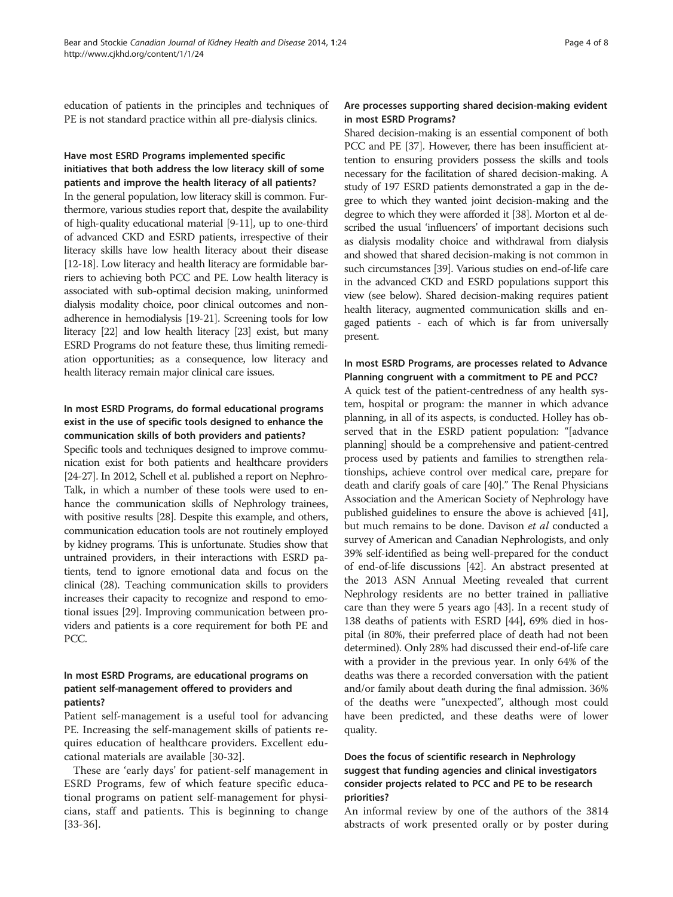education of patients in the principles and techniques of PE is not standard practice within all pre-dialysis clinics.

# Have most ESRD Programs implemented specific initiatives that both address the low literacy skill of some patients and improve the health literacy of all patients?

In the general population, low literacy skill is common. Furthermore, various studies report that, despite the availability of high-quality educational material [[9](#page-6-0)-[11](#page-6-0)], up to one-third of advanced CKD and ESRD patients, irrespective of their literacy skills have low health literacy about their disease [[12](#page-6-0)-[18\]](#page-6-0). Low literacy and health literacy are formidable barriers to achieving both PCC and PE. Low health literacy is associated with sub-optimal decision making, uninformed dialysis modality choice, poor clinical outcomes and nonadherence in hemodialysis [\[19-21\]](#page-6-0). Screening tools for low literacy [\[22\]](#page-6-0) and low health literacy [\[23\]](#page-6-0) exist, but many ESRD Programs do not feature these, thus limiting remediation opportunities; as a consequence, low literacy and health literacy remain major clinical care issues.

# In most ESRD Programs, do formal educational programs exist in the use of specific tools designed to enhance the communication skills of both providers and patients?

Specific tools and techniques designed to improve communication exist for both patients and healthcare providers [[24](#page-6-0)-[27\]](#page-6-0). In 2012, Schell et al. published a report on Nephro-Talk, in which a number of these tools were used to enhance the communication skills of Nephrology trainees, with positive results [\[28\]](#page-6-0). Despite this example, and others, communication education tools are not routinely employed by kidney programs. This is unfortunate. Studies show that untrained providers, in their interactions with ESRD patients, tend to ignore emotional data and focus on the clinical (28). Teaching communication skills to providers increases their capacity to recognize and respond to emotional issues [[29](#page-6-0)]. Improving communication between providers and patients is a core requirement for both PE and PCC.

# In most ESRD Programs, are educational programs on patient self-management offered to providers and patients?

Patient self-management is a useful tool for advancing PE. Increasing the self-management skills of patients requires education of healthcare providers. Excellent educational materials are available [[30-32](#page-6-0)].

These are 'early days' for patient-self management in ESRD Programs, few of which feature specific educational programs on patient self-management for physicians, staff and patients. This is beginning to change [[33-36\]](#page-6-0).

# Are processes supporting shared decision-making evident in most ESRD Programs?

Shared decision-making is an essential component of both PCC and PE [[37](#page-6-0)]. However, there has been insufficient attention to ensuring providers possess the skills and tools necessary for the facilitation of shared decision-making. A study of 197 ESRD patients demonstrated a gap in the degree to which they wanted joint decision-making and the degree to which they were afforded it [\[38\]](#page-6-0). Morton et al described the usual 'influencers' of important decisions such as dialysis modality choice and withdrawal from dialysis and showed that shared decision-making is not common in such circumstances [[39](#page-6-0)]. Various studies on end-of-life care in the advanced CKD and ESRD populations support this view (see below). Shared decision-making requires patient health literacy, augmented communication skills and engaged patients - each of which is far from universally present.

# In most ESRD Programs, are processes related to Advance Planning congruent with a commitment to PE and PCC?

A quick test of the patient-centredness of any health system, hospital or program: the manner in which advance planning, in all of its aspects, is conducted. Holley has observed that in the ESRD patient population: "[advance planning] should be a comprehensive and patient-centred process used by patients and families to strengthen relationships, achieve control over medical care, prepare for death and clarify goals of care [[40](#page-6-0)]." The Renal Physicians Association and the American Society of Nephrology have published guidelines to ensure the above is achieved [[41](#page-6-0)], but much remains to be done. Davison et al conducted a survey of American and Canadian Nephrologists, and only 39% self-identified as being well-prepared for the conduct of end-of-life discussions [[42](#page-6-0)]. An abstract presented at the 2013 ASN Annual Meeting revealed that current Nephrology residents are no better trained in palliative care than they were 5 years ago [\[43\]](#page-6-0). In a recent study of 138 deaths of patients with ESRD [\[44\]](#page-6-0), 69% died in hospital (in 80%, their preferred place of death had not been determined). Only 28% had discussed their end-of-life care with a provider in the previous year. In only 64% of the deaths was there a recorded conversation with the patient and/or family about death during the final admission. 36% of the deaths were "unexpected", although most could have been predicted, and these deaths were of lower quality.

# Does the focus of scientific research in Nephrology suggest that funding agencies and clinical investigators consider projects related to PCC and PE to be research priorities?

An informal review by one of the authors of the 3814 abstracts of work presented orally or by poster during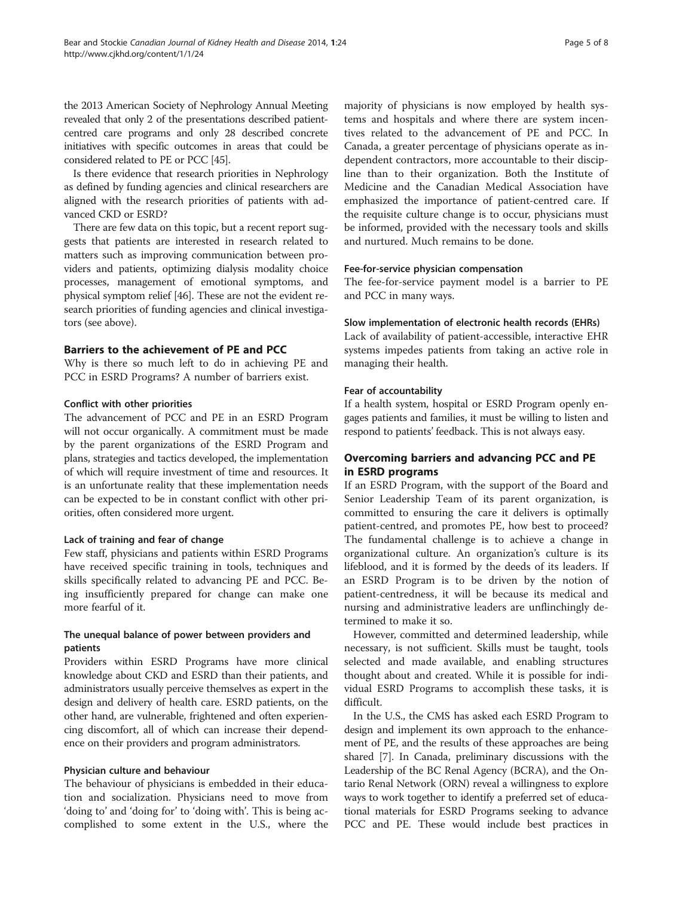the 2013 American Society of Nephrology Annual Meeting revealed that only 2 of the presentations described patientcentred care programs and only 28 described concrete initiatives with specific outcomes in areas that could be considered related to PE or PCC [[45](#page-7-0)].

Is there evidence that research priorities in Nephrology as defined by funding agencies and clinical researchers are aligned with the research priorities of patients with advanced CKD or ESRD?

There are few data on this topic, but a recent report suggests that patients are interested in research related to matters such as improving communication between providers and patients, optimizing dialysis modality choice processes, management of emotional symptoms, and physical symptom relief [\[46\]](#page-7-0). These are not the evident research priorities of funding agencies and clinical investigators (see above).

## Barriers to the achievement of PE and PCC

Why is there so much left to do in achieving PE and PCC in ESRD Programs? A number of barriers exist.

## Conflict with other priorities

The advancement of PCC and PE in an ESRD Program will not occur organically. A commitment must be made by the parent organizations of the ESRD Program and plans, strategies and tactics developed, the implementation of which will require investment of time and resources. It is an unfortunate reality that these implementation needs can be expected to be in constant conflict with other priorities, often considered more urgent.

# Lack of training and fear of change

Few staff, physicians and patients within ESRD Programs have received specific training in tools, techniques and skills specifically related to advancing PE and PCC. Being insufficiently prepared for change can make one more fearful of it.

# The unequal balance of power between providers and patients

Providers within ESRD Programs have more clinical knowledge about CKD and ESRD than their patients, and administrators usually perceive themselves as expert in the design and delivery of health care. ESRD patients, on the other hand, are vulnerable, frightened and often experiencing discomfort, all of which can increase their dependence on their providers and program administrators.

#### Physician culture and behaviour

The behaviour of physicians is embedded in their education and socialization. Physicians need to move from 'doing to' and 'doing for' to 'doing with'. This is being accomplished to some extent in the U.S., where the

majority of physicians is now employed by health systems and hospitals and where there are system incentives related to the advancement of PE and PCC. In Canada, a greater percentage of physicians operate as independent contractors, more accountable to their discipline than to their organization. Both the Institute of Medicine and the Canadian Medical Association have emphasized the importance of patient-centred care. If the requisite culture change is to occur, physicians must be informed, provided with the necessary tools and skills and nurtured. Much remains to be done.

#### Fee-for-service physician compensation

The fee-for-service payment model is a barrier to PE and PCC in many ways.

#### Slow implementation of electronic health records (EHRs)

Lack of availability of patient-accessible, interactive EHR systems impedes patients from taking an active role in managing their health.

#### Fear of accountability

If a health system, hospital or ESRD Program openly engages patients and families, it must be willing to listen and respond to patients' feedback. This is not always easy.

# Overcoming barriers and advancing PCC and PE in ESRD programs

If an ESRD Program, with the support of the Board and Senior Leadership Team of its parent organization, is committed to ensuring the care it delivers is optimally patient-centred, and promotes PE, how best to proceed? The fundamental challenge is to achieve a change in organizational culture. An organization's culture is its lifeblood, and it is formed by the deeds of its leaders. If an ESRD Program is to be driven by the notion of patient-centredness, it will be because its medical and nursing and administrative leaders are unflinchingly determined to make it so.

However, committed and determined leadership, while necessary, is not sufficient. Skills must be taught, tools selected and made available, and enabling structures thought about and created. While it is possible for individual ESRD Programs to accomplish these tasks, it is difficult.

In the U.S., the CMS has asked each ESRD Program to design and implement its own approach to the enhancement of PE, and the results of these approaches are being shared [[7\]](#page-6-0). In Canada, preliminary discussions with the Leadership of the BC Renal Agency (BCRA), and the Ontario Renal Network (ORN) reveal a willingness to explore ways to work together to identify a preferred set of educational materials for ESRD Programs seeking to advance PCC and PE. These would include best practices in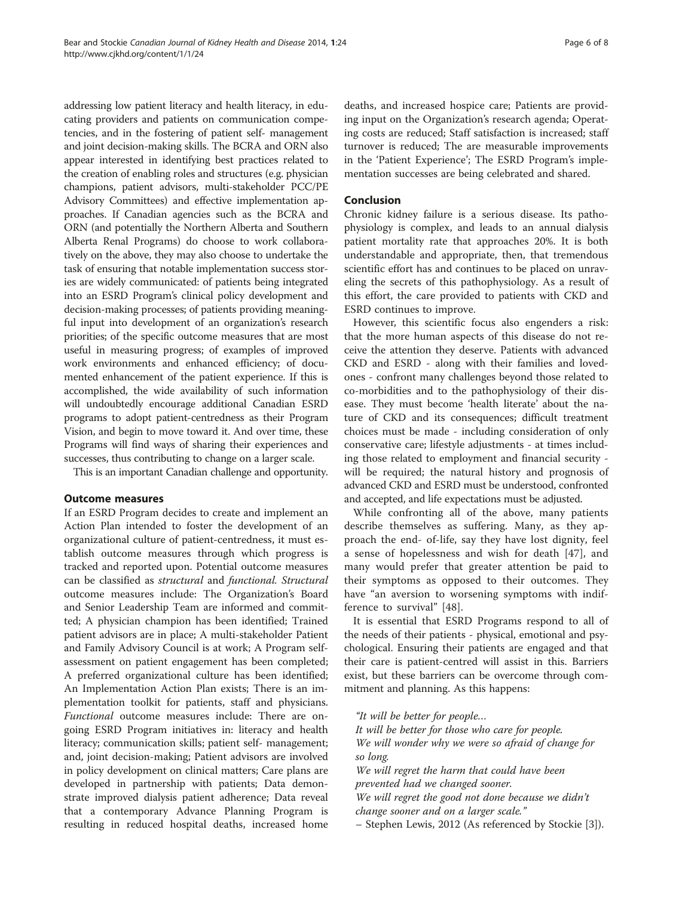addressing low patient literacy and health literacy, in educating providers and patients on communication competencies, and in the fostering of patient self- management and joint decision-making skills. The BCRA and ORN also appear interested in identifying best practices related to the creation of enabling roles and structures (e.g. physician champions, patient advisors, multi-stakeholder PCC/PE Advisory Committees) and effective implementation approaches. If Canadian agencies such as the BCRA and ORN (and potentially the Northern Alberta and Southern Alberta Renal Programs) do choose to work collaboratively on the above, they may also choose to undertake the task of ensuring that notable implementation success stories are widely communicated: of patients being integrated into an ESRD Program's clinical policy development and decision-making processes; of patients providing meaningful input into development of an organization's research priorities; of the specific outcome measures that are most useful in measuring progress; of examples of improved work environments and enhanced efficiency; of documented enhancement of the patient experience. If this is accomplished, the wide availability of such information will undoubtedly encourage additional Canadian ESRD programs to adopt patient-centredness as their Program Vision, and begin to move toward it. And over time, these Programs will find ways of sharing their experiences and successes, thus contributing to change on a larger scale.

This is an important Canadian challenge and opportunity.

#### Outcome measures

If an ESRD Program decides to create and implement an Action Plan intended to foster the development of an organizational culture of patient-centredness, it must establish outcome measures through which progress is tracked and reported upon. Potential outcome measures can be classified as structural and functional. Structural outcome measures include: The Organization's Board and Senior Leadership Team are informed and committed; A physician champion has been identified; Trained patient advisors are in place; A multi-stakeholder Patient and Family Advisory Council is at work; A Program selfassessment on patient engagement has been completed; A preferred organizational culture has been identified; An Implementation Action Plan exists; There is an implementation toolkit for patients, staff and physicians. Functional outcome measures include: There are ongoing ESRD Program initiatives in: literacy and health literacy; communication skills; patient self- management; and, joint decision-making; Patient advisors are involved in policy development on clinical matters; Care plans are developed in partnership with patients; Data demonstrate improved dialysis patient adherence; Data reveal that a contemporary Advance Planning Program is resulting in reduced hospital deaths, increased home

deaths, and increased hospice care; Patients are providing input on the Organization's research agenda; Operating costs are reduced; Staff satisfaction is increased; staff turnover is reduced; The are measurable improvements in the 'Patient Experience'; The ESRD Program's implementation successes are being celebrated and shared.

# Conclusion

Chronic kidney failure is a serious disease. Its pathophysiology is complex, and leads to an annual dialysis patient mortality rate that approaches 20%. It is both understandable and appropriate, then, that tremendous scientific effort has and continues to be placed on unraveling the secrets of this pathophysiology. As a result of this effort, the care provided to patients with CKD and ESRD continues to improve.

However, this scientific focus also engenders a risk: that the more human aspects of this disease do not receive the attention they deserve. Patients with advanced CKD and ESRD - along with their families and lovedones - confront many challenges beyond those related to co-morbidities and to the pathophysiology of their disease. They must become 'health literate' about the nature of CKD and its consequences; difficult treatment choices must be made - including consideration of only conservative care; lifestyle adjustments - at times including those related to employment and financial security will be required; the natural history and prognosis of advanced CKD and ESRD must be understood, confronted and accepted, and life expectations must be adjusted.

While confronting all of the above, many patients describe themselves as suffering. Many, as they approach the end- of-life, say they have lost dignity, feel a sense of hopelessness and wish for death [\[47](#page-7-0)], and many would prefer that greater attention be paid to their symptoms as opposed to their outcomes. They have "an aversion to worsening symptoms with indifference to survival" [[48\]](#page-7-0).

It is essential that ESRD Programs respond to all of the needs of their patients - physical, emotional and psychological. Ensuring their patients are engaged and that their care is patient-centred will assist in this. Barriers exist, but these barriers can be overcome through commitment and planning. As this happens:

"It will be better for people…

It will be better for those who care for people. We will wonder why we were so afraid of change for so long.

We will regret the harm that could have been prevented had we changed sooner.

We will regret the good not done because we didn't change sooner and on a larger scale."

– Stephen Lewis, 2012 (As referenced by Stockie [\[3](#page-6-0)]).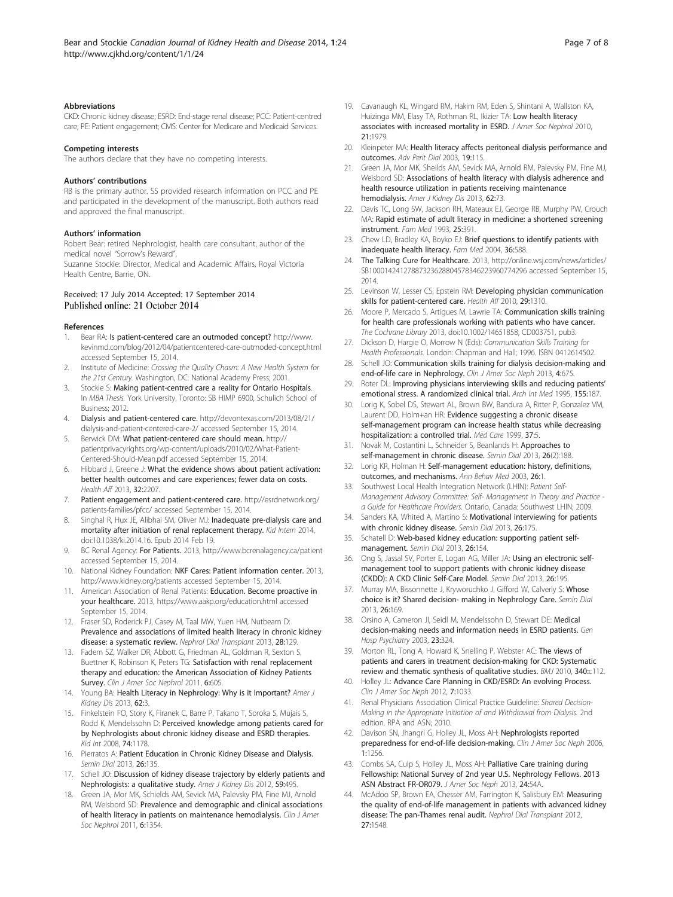#### <span id="page-6-0"></span>**Abbreviations**

CKD: Chronic kidney disease; ESRD: End-stage renal disease; PCC: Patient-centred care; PE: Patient engagement; CMS: Center for Medicare and Medicaid Services.

#### Competing interests

The authors declare that they have no competing interests.

#### Authors' contributions

RB is the primary author. SS provided research information on PCC and PE and participated in the development of the manuscript. Both authors read and approved the final manuscript.

#### Authors' information

Robert Bear: retired Nephrologist, health care consultant, author of the medical novel "Sorrow's Reward",

Suzanne Stockie: Director, Medical and Academic Affairs, Royal Victoria Health Centre, Barrie, ON.

#### Received: 17 July 2014 Accepted: 17 September 2014 Published online: 21 October 2014

#### References

- 1. Bear RA: Is patient-centered care an outmoded concept? [http://www.](http://www.kevinmd.com/blog/2012/04/patientcentered-care-outmoded-concept.html) [kevinmd.com/blog/2012/04/patientcentered-care-outmoded-concept.html](http://www.kevinmd.com/blog/2012/04/patientcentered-care-outmoded-concept.html) accessed September 15, 2014.
- 2. Institute of Medicine: Crossing the Quality Chasm: A New Health System for the 21st Century. Washington, DC: National Academy Press; 2001.
- Stockie S: Making patient-centred care a reality for Ontario Hospitals. In MBA Thesis. York University, Toronto: SB HIMP 6900, Schulich School of Business; 2012.
- 4. Dialysis and patient-centered care. [http://devontexas.com/2013/08/21/](http://devontexas.com/2013/08/21/dialysis-and-patient-centered-care-2/) [dialysis-and-patient-centered-care-2/](http://devontexas.com/2013/08/21/dialysis-and-patient-centered-care-2/) accessed September 15, 2014.
- 5. Berwick DM: What patient-centered care should mean. [http://](http://patientprivacyrights.org/wp-content/uploads/2010/02/What-Patient-Centered-Should-Mean.pdf) [patientprivacyrights.org/wp-content/uploads/2010/02/What-Patient-](http://patientprivacyrights.org/wp-content/uploads/2010/02/What-Patient-Centered-Should-Mean.pdf)[Centered-Should-Mean.pdf](http://patientprivacyrights.org/wp-content/uploads/2010/02/What-Patient-Centered-Should-Mean.pdf) accessed September 15, 2014.
- 6. Hibbard J, Greene J: What the evidence shows about patient activation: better health outcomes and care experiences; fewer data on costs. Health Aff 2013, 32:2207.
- 7. Patient engagement and patient-centered care. [http://esrdnetwork.org/](http://esrdnetwork.org/patients-families/pfcc/) [patients-families/pfcc/](http://esrdnetwork.org/patients-families/pfcc/) accessed September 15, 2014.
- Singhal R, Hux JE, Alibhai SM, Oliver MJ: Inadequate pre-dialysis care and mortality after initiation of renal replacement therapy. Kid Intern 2014, doi:10.1038/ki.2014.16. Epub 2014 Feb 19.
- 9. BC Renal Agency: For Patients. 2013,<http://www.bcrenalagency.ca/patient> accessed September 15, 2014.
- 10. National Kidney Foundation: NKF Cares: Patient information center. 2013, <http://www.kidney.org/patients> accessed September 15, 2014.
- 11. American Association of Renal Patients: Education. Become proactive in your healthcare. 2013,<https://www.aakp.org/education.html> accessed September 15, 2014.
- 12. Fraser SD, Roderick PJ, Casey M, Taal MW, Yuen HM, Nutbeam D: Prevalence and associations of limited health literacy in chronic kidney disease: a systematic review. Nephrol Dial Transplant 2013, 28:129.
- 13. Fadem SZ, Walker DR, Abbott G, Friedman AL, Goldman R, Sexton S, Buettner K, Robinson K, Peters TG: Satisfaction with renal replacement therapy and education: the American Association of Kidney Patients Survey. Clin J Amer Soc Nephrol 2011, 6:605.
- 14. Young BA: Health Literacy in Nephrology: Why is it Important? Amer J Kidney Dis 2013, 62:3.
- 15. Finkelstein FO, Story K, Firanek C, Barre P, Takano T, Soroka S, Mujais S, Rodd K, Mendelssohn D: Perceived knowledge among patients cared for by Nephrologists about chronic kidney disease and ESRD therapies. Kid Int 2008, 74:1178.
- 16. Pierratos A: Patient Education in Chronic Kidney Disease and Dialysis. Semin Dial 2013, 26:135.
- 17. Schell JO: Discussion of kidney disease trajectory by elderly patients and Nephrologists: a qualitative study. Amer J Kidney Dis 2012, 59:495.
- 18. Green JA, Mor MK, Schields AM, Sevick MA, Palevsky PM, Fine MJ, Arnold RM, Weisbord SD: Prevalence and demographic and clinical associations of health literacy in patients on maintenance hemodialysis. Clin J Amer Soc Nephrol 2011, 6:1354.
- 19. Cavanaugh KL, Wingard RM, Hakim RM, Eden S, Shintani A, Wallston KA, Huizinga MM, Elasy TA, Rothman RL, Ikizier TA: Low health literacy associates with increased mortality in ESRD. J Amer Soc Nephrol 2010, 21:1979.
- 20. Kleinpeter MA: Health literacy affects peritoneal dialysis performance and outcomes. Adv Perit Dial 2003, 19:115.
- 21. Green JA, Mor MK, Sheilds AM, Sevick MA, Arnold RM, Palevsky PM, Fine MJ, Weisbord SD: Associations of health literacy with dialysis adherence and health resource utilization in patients receiving maintenance hemodialysis. Amer J Kidney Dis 2013, 62:73.
- 22. Davis TC, Long SW, Jackson RH, Mateaux EJ, George RB, Murphy PW, Crouch MA: Rapid estimate of adult literacy in medicine: a shortened screening instrument. Fam Med 1993, 25:391.
- 23. Chew LD, Bradley KA, Boyko EJ: Brief questions to identify patients with inadequate health literacy. Fam Med 2004, 36:588.
- 24. The Talking Cure for Healthcare. 2013, [http://online.wsj.com/news/articles/](http://online.wsj.com/news/articles/SB10001424127887323628804578346223960774296) [SB10001424127887323628804578346223960774296](http://online.wsj.com/news/articles/SB10001424127887323628804578346223960774296) accessed September 15, 2014.
- 25. Levinson W, Lesser CS, Epstein RM: Developing physician communication skills for patient-centered care. Health Aff 2010, 29:1310.
- 26. Moore P, Mercado S, Artigues M, Lawrie TA: Communication skills training for health care professionals working with patients who have cancer. The Cochrane Library 2013, doi:10.1002/14651858, CD003751, pub3.
- 27. Dickson D, Hargie O, Morrow N (Eds): Communication Skills Training for Health Professionals. London: Chapman and Hall; 1996. ISBN 0412614502.
- 28. Schell JO: Communication skills training for dialysis decision-making and end-of-life care in Nephrology. Clin J Amer Soc Neph 2013, 4:675.
- 29. Roter DL: Improving physicians interviewing skills and reducing patients' emotional stress. A randomized clinical trial. Arch Int Med 1995, 155:187
- 30. Lorig K, Sobel DS, Stewart AL, Brown BW, Bandura A, Ritter P, Gonzalez VM, Laurent DD, Holm+an HR: Evidence suggesting a chronic disease self-management program can increase health status while decreasing hospitalization: a controlled trial. Med Care 1999, 37:5.
- 31. Novak M, Costantini L, Schneider S, Beanlands H: Approaches to self-management in chronic disease. Semin Dial 2013, 26(2):188.
- 32. Lorig KR, Holman H: Self-management education: history, definitions, outcomes, and mechanisms. Ann Behav Med 2003, 26:1.
- 33. Southwest Local Health Integration Network (LHIN): Patient Self-Management Advisory Committee: Self- Management in Theory and Practice a Guide for Healthcare Providers. Ontario, Canada: Southwest LHIN; 2009.
- 34. Sanders KA, Whited A, Martino S: Motivational interviewing for patients with chronic kidney disease. Semin Dial 2013, 26:175.
- 35. Schatell D: Web-based kidney education: supporting patient selfmanagement. Semin Dial 2013, 26:154.
- 36. Ong S, Jassal SV, Porter E, Logan AG, Miller JA: Using an electronic selfmanagement tool to support patients with chronic kidney disease (CKDD): A CKD Clinic Self-Care Model. Semin Dial 2013, 26:195.
- 37. Murray MA, Bissonnette J, Kryworuchko J, Gifford W, Calverly S: Whose choice is it? Shared decision- making in Nephrology Care. Semin Dial 2013, 26:169.
- 38. Orsino A, Cameron JI, Seidl M, Mendelssohn D, Stewart DE: Medical decision-making needs and information needs in ESRD patients. Gen Hosp Psychiatry 2003, 23:324.
- 39. Morton RL, Tong A, Howard K, Snelling P, Webster AC: The views of patients and carers in treatment decision-making for CKD: Systematic review and thematic synthesis of qualitative studies. BMJ 2010, 340:c112.
- 40. Holley JL: Advance Care Planning in CKD/ESRD: An evolving Process. Clin J Amer Soc Neph 2012, 7:1033.
- 41. Renal Physicians Association Clinical Practice Guideline: Shared Decision-Making in the Appropriate Initiation of and Withdrawal from Dialysis. 2nd edition. RPA and ASN; 2010.
- 42. Davison SN, Jhangri G, Holley JL, Moss AH: Nephrologists reported preparedness for end-of-life decision-making. Clin J Amer Soc Neph 2006, 1:1256.
- 43. Combs SA, Culp S, Holley JL, Moss AH: Palliative Care training during Fellowship: National Survey of 2nd year U.S. Nephrology Fellows. 2013 ASN Abstract FR-OR079. J Amer Soc Neph 2013, 24:54A.
- 44. McAdoo SP, Brown EA, Chesser AM, Farrington K, Salisbury EM: Measuring the quality of end-of-life management in patients with advanced kidney disease: The pan-Thames renal audit. Nephrol Dial Transplant 2012, 27:1548.